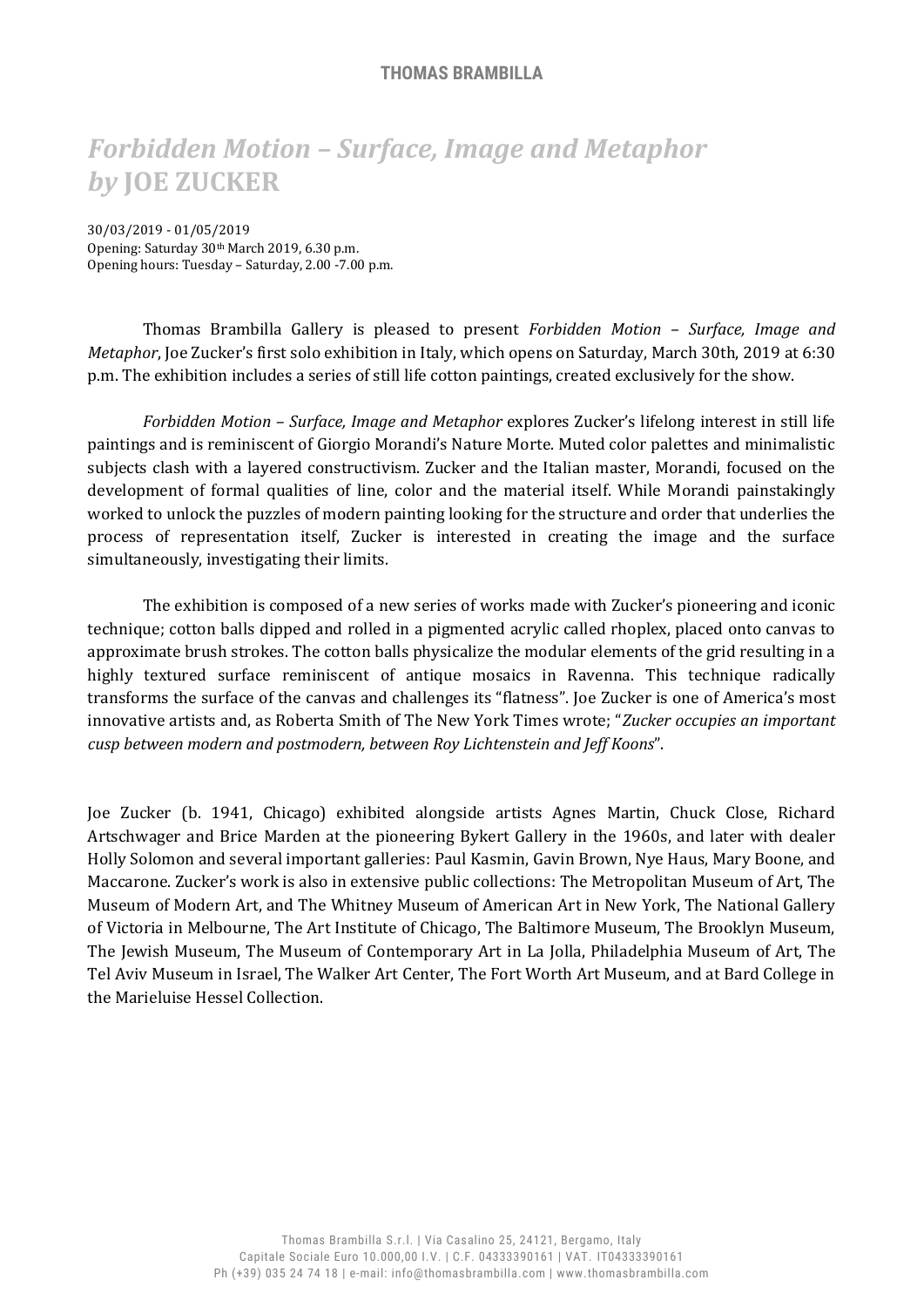## **THOMAS BRAMBILLA**

## *Forbidden Motion – Surface, Image and Metaphor by* **JOE ZUCKER**

30/03/2019 - 01/05/2019 Opening: Saturday 30th March 2019, 6.30 p.m. Opening hours: Tuesday – Saturday, 2.00 -7.00 p.m.

Thomas Brambilla Gallery is pleased to present *Forbidden Motion – Surface, Image and Metaphor*, Joe Zucker's first solo exhibition in Italy, which opens on Saturday, March 30th, 2019 at 6:30 p.m. The exhibition includes a series of still life cotton paintings, created exclusively for the show.

*Forbidden Motion – Surface, Image and Metaphor* explores Zucker's lifelong interest in still life paintings and is reminiscent of Giorgio Morandi's Nature Morte. Muted color palettes and minimalistic subjects clash with a layered constructivism. Zucker and the Italian master, Morandi, focused on the development of formal qualities of line, color and the material itself. While Morandi painstakingly worked to unlock the puzzles of modern painting looking for the structure and order that underlies the process of representation itself, Zucker is interested in creating the image and the surface simultaneously, investigating their limits.

The exhibition is composed of a new series of works made with Zucker's pioneering and iconic technique; cotton balls dipped and rolled in a pigmented acrylic called rhoplex, placed onto canvas to approximate brush strokes. The cotton balls physicalize the modular elements of the grid resulting in a highly textured surface reminiscent of antique mosaics in Ravenna. This technique radically transforms the surface of the canvas and challenges its "flatness". Joe Zucker is one of America's most innovative artists and, as Roberta Smith of The New York Times wrote; "*Zucker occupies an important cusp between modern and postmodern, between Roy Lichtenstein and Jeff Koons*".

Joe Zucker (b. 1941, Chicago) exhibited alongside artists Agnes Martin, Chuck Close, Richard Artschwager and Brice Marden at the pioneering Bykert Gallery in the 1960s, and later with dealer Holly Solomon and several important galleries: Paul Kasmin, Gavin Brown, Nye Haus, Mary Boone, and Maccarone. Zucker's work is also in extensive public collections: The Metropolitan Museum of Art, The Museum of Modern Art, and The Whitney Museum of American Art in New York, The National Gallery of Victoria in Melbourne, The Art Institute of Chicago, The Baltimore Museum, The Brooklyn Museum, The Jewish Museum, The Museum of Contemporary Art in La Jolla, Philadelphia Museum of Art, The Tel Aviv Museum in Israel, The Walker Art Center, The Fort Worth Art Museum, and at Bard College in the Marieluise Hessel Collection.